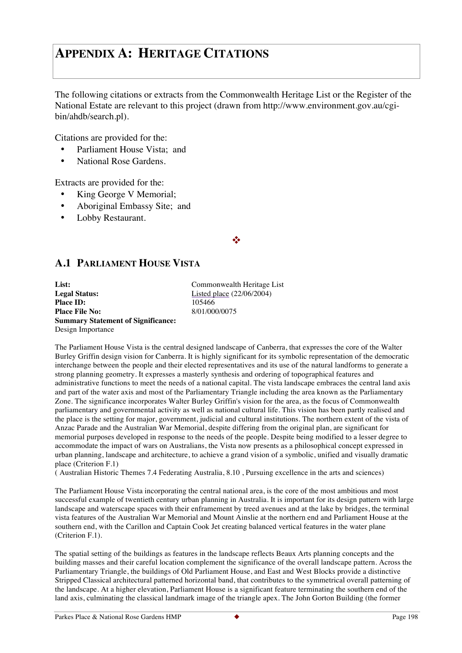# **APPENDIX A: HERITAGE CITATIONS**

The following citations or extracts from the Commonwealth Heritage List or the Register of the National Estate are relevant to this project (drawn from http://www.environment.gov.au/cgibin/ahdb/search.pl).

Citations are provided for the:

- Parliament House Vista; and
- National Rose Gardens

Extracts are provided for the:

- King George V Memorial;
- Aboriginal Embassy Site; and
- Lobby Restaurant.

## ❖

# **A.1 PARLIAMENT HOUSE VISTA**

| List:                                     |
|-------------------------------------------|
| <b>Legal Status:</b>                      |
| <b>Place ID:</b>                          |
| <b>Place File No:</b>                     |
| <b>Summary Statement of Significance:</b> |
| Design Importance                         |

**List:** Commonwealth Heritage List Listed place (22/06/2004) **Place ID:** 105466 **Place File No:** 8/01/000/0075

The Parliament House Vista is the central designed landscape of Canberra, that expresses the core of the Walter Burley Griffin design vision for Canberra. It is highly significant for its symbolic representation of the democratic interchange between the people and their elected representatives and its use of the natural landforms to generate a strong planning geometry. It expresses a masterly synthesis and ordering of topographical features and administrative functions to meet the needs of a national capital. The vista landscape embraces the central land axis and part of the water axis and most of the Parliamentary Triangle including the area known as the Parliamentary Zone. The significance incorporates Walter Burley Griffin's vision for the area, as the focus of Commonwealth parliamentary and governmental activity as well as national cultural life. This vision has been partly realised and the place is the setting for major, government, judicial and cultural institutions. The northern extent of the vista of Anzac Parade and the Australian War Memorial, despite differing from the original plan, are significant for memorial purposes developed in response to the needs of the people. Despite being modified to a lesser degree to accommodate the impact of wars on Australians, the Vista now presents as a philosophical concept expressed in urban planning, landscape and architecture, to achieve a grand vision of a symbolic, unified and visually dramatic place (Criterion F.1)

( Australian Historic Themes 7.4 Federating Australia, 8.10 , Pursuing excellence in the arts and sciences)

The Parliament House Vista incorporating the central national area, is the core of the most ambitious and most successful example of twentieth century urban planning in Australia. It is important for its design pattern with large landscape and waterscape spaces with their enframement by treed avenues and at the lake by bridges, the terminal vista features of the Australian War Memorial and Mount Ainslie at the northern end and Parliament House at the southern end, with the Carillon and Captain Cook Jet creating balanced vertical features in the water plane (Criterion F.1).

The spatial setting of the buildings as features in the landscape reflects Beaux Arts planning concepts and the building masses and their careful location complement the significance of the overall landscape pattern. Across the Parliamentary Triangle, the buildings of Old Parliament House, and East and West Blocks provide a distinctive Stripped Classical architectural patterned horizontal band, that contributes to the symmetrical overall patterning of the landscape. At a higher elevation, Parliament House is a significant feature terminating the southern end of the land axis, culminating the classical landmark image of the triangle apex. The John Gorton Building (the former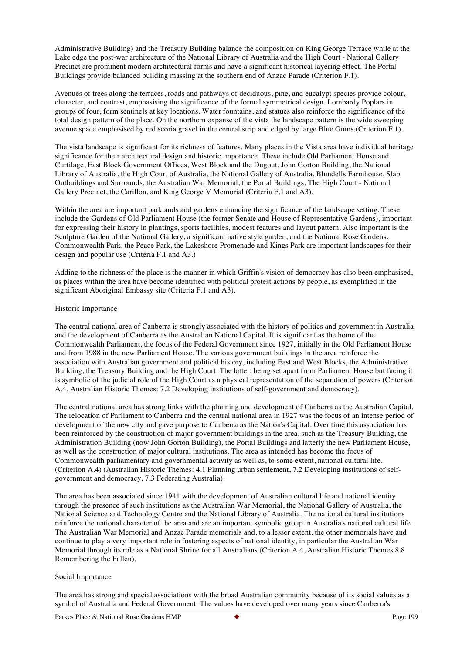Administrative Building) and the Treasury Building balance the composition on King George Terrace while at the Lake edge the post-war architecture of the National Library of Australia and the High Court - National Gallery Precinct are prominent modern architectural forms and have a significant historical layering effect. The Portal Buildings provide balanced building massing at the southern end of Anzac Parade (Criterion F.1).

Avenues of trees along the terraces, roads and pathways of deciduous, pine, and eucalypt species provide colour, character, and contrast, emphasising the significance of the formal symmetrical design. Lombardy Poplars in groups of four, form sentinels at key locations. Water fountains, and statues also reinforce the significance of the total design pattern of the place. On the northern expanse of the vista the landscape pattern is the wide sweeping avenue space emphasised by red scoria gravel in the central strip and edged by large Blue Gums (Criterion F.1).

The vista landscape is significant for its richness of features. Many places in the Vista area have individual heritage significance for their architectural design and historic importance. These include Old Parliament House and Curtilage, East Block Government Offices, West Block and the Dugout, John Gorton Building, the National Library of Australia, the High Court of Australia, the National Gallery of Australia, Blundells Farmhouse, Slab Outbuildings and Surrounds, the Australian War Memorial, the Portal Buildings, The High Court - National Gallery Precinct, the Carillon, and King George V Memorial (Criteria F.1 and A3).

Within the area are important parklands and gardens enhancing the significance of the landscape setting. These include the Gardens of Old Parliament House (the former Senate and House of Representative Gardens), important for expressing their history in plantings, sports facilities, modest features and layout pattern. Also important is the Sculpture Garden of the National Gallery, a significant native style garden, and the National Rose Gardens. Commonwealth Park, the Peace Park, the Lakeshore Promenade and Kings Park are important landscapes for their design and popular use (Criteria F.1 and A3.)

Adding to the richness of the place is the manner in which Griffin's vision of democracy has also been emphasised, as places within the area have become identified with political protest actions by people, as exemplified in the significant Aboriginal Embassy site (Criteria F.1 and A3).

#### Historic Importance

The central national area of Canberra is strongly associated with the history of politics and government in Australia and the development of Canberra as the Australian National Capital. It is significant as the home of the Commonwealth Parliament, the focus of the Federal Government since 1927, initially in the Old Parliament House and from 1988 in the new Parliament House. The various government buildings in the area reinforce the association with Australian government and political history, including East and West Blocks, the Administrative Building, the Treasury Building and the High Court. The latter, being set apart from Parliament House but facing it is symbolic of the judicial role of the High Court as a physical representation of the separation of powers (Criterion A.4, Australian Historic Themes: 7.2 Developing institutions of self-government and democracy).

The central national area has strong links with the planning and development of Canberra as the Australian Capital. The relocation of Parliament to Canberra and the central national area in 1927 was the focus of an intense period of development of the new city and gave purpose to Canberra as the Nation's Capital. Over time this association has been reinforced by the construction of major government buildings in the area, such as the Treasury Building, the Administration Building (now John Gorton Building), the Portal Buildings and latterly the new Parliament House, as well as the construction of major cultural institutions. The area as intended has become the focus of Commonwealth parliamentary and governmental activity as well as, to some extent, national cultural life. (Criterion A.4) (Australian Historic Themes: 4.1 Planning urban settlement, 7.2 Developing institutions of selfgovernment and democracy, 7.3 Federating Australia).

The area has been associated since 1941 with the development of Australian cultural life and national identity through the presence of such institutions as the Australian War Memorial, the National Gallery of Australia, the National Science and Technology Centre and the National Library of Australia. The national cultural institutions reinforce the national character of the area and are an important symbolic group in Australia's national cultural life. The Australian War Memorial and Anzac Parade memorials and, to a lesser extent, the other memorials have and continue to play a very important role in fostering aspects of national identity, in particular the Australian War Memorial through its role as a National Shrine for all Australians (Criterion A.4, Australian Historic Themes 8.8 Remembering the Fallen).

## Social Importance

The area has strong and special associations with the broad Australian community because of its social values as a symbol of Australia and Federal Government. The values have developed over many years since Canberra's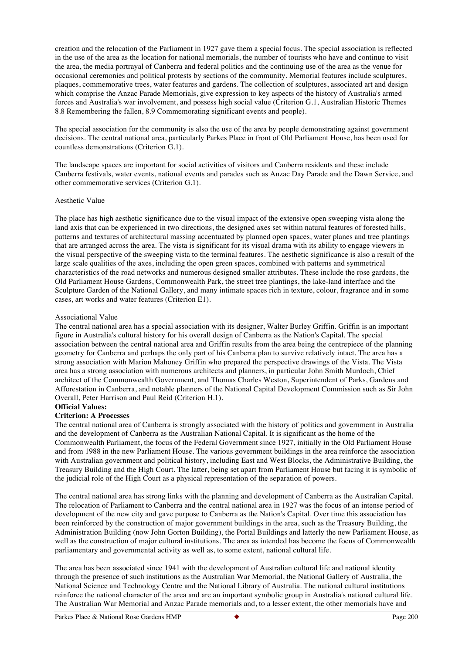creation and the relocation of the Parliament in 1927 gave them a special focus. The special association is reflected in the use of the area as the location for national memorials, the number of tourists who have and continue to visit the area, the media portrayal of Canberra and federal politics and the continuing use of the area as the venue for occasional ceremonies and political protests by sections of the community. Memorial features include sculptures, plaques, commemorative trees, water features and gardens. The collection of sculptures, associated art and design which comprise the Anzac Parade Memorials, give expression to key aspects of the history of Australia's armed forces and Australia's war involvement, and possess high social value (Criterion G.1, Australian Historic Themes 8.8 Remembering the fallen, 8.9 Commemorating significant events and people).

The special association for the community is also the use of the area by people demonstrating against government decisions. The central national area, particularly Parkes Place in front of Old Parliament House, has been used for countless demonstrations (Criterion G.1).

The landscape spaces are important for social activities of visitors and Canberra residents and these include Canberra festivals, water events, national events and parades such as Anzac Day Parade and the Dawn Service, and other commemorative services (Criterion G.1).

#### Aesthetic Value

The place has high aesthetic significance due to the visual impact of the extensive open sweeping vista along the land axis that can be experienced in two directions, the designed axes set within natural features of forested hills, patterns and textures of architectural massing accentuated by planned open spaces, water planes and tree plantings that are arranged across the area. The vista is significant for its visual drama with its ability to engage viewers in the visual perspective of the sweeping vista to the terminal features. The aesthetic significance is also a result of the large scale qualities of the axes, including the open green spaces, combined with patterns and symmetrical characteristics of the road networks and numerous designed smaller attributes. These include the rose gardens, the Old Parliament House Gardens, Commonwealth Park, the street tree plantings, the lake-land interface and the Sculpture Garden of the National Gallery, and many intimate spaces rich in texture, colour, fragrance and in some cases, art works and water features (Criterion E1).

#### Associational Value

The central national area has a special association with its designer, Walter Burley Griffin. Griffin is an important figure in Australia's cultural history for his overall design of Canberra as the Nation's Capital. The special association between the central national area and Griffin results from the area being the centrepiece of the planning geometry for Canberra and perhaps the only part of his Canberra plan to survive relatively intact. The area has a strong association with Marion Mahoney Griffin who prepared the perspective drawings of the Vista. The Vista area has a strong association with numerous architects and planners, in particular John Smith Murdoch, Chief architect of the Commonwealth Government, and Thomas Charles Weston, Superintendent of Parks, Gardens and Afforestation in Canberra, and notable planners of the National Capital Development Commission such as Sir John Overall, Peter Harrison and Paul Reid (Criterion H.1).

## **Official Values:**

#### **Criterion: A Processes**

The central national area of Canberra is strongly associated with the history of politics and government in Australia and the development of Canberra as the Australian National Capital. It is significant as the home of the Commonwealth Parliament, the focus of the Federal Government since 1927, initially in the Old Parliament House and from 1988 in the new Parliament House. The various government buildings in the area reinforce the association with Australian government and political history, including East and West Blocks, the Administrative Building, the Treasury Building and the High Court. The latter, being set apart from Parliament House but facing it is symbolic of the judicial role of the High Court as a physical representation of the separation of powers.

The central national area has strong links with the planning and development of Canberra as the Australian Capital. The relocation of Parliament to Canberra and the central national area in 1927 was the focus of an intense period of development of the new city and gave purpose to Canberra as the Nation's Capital. Over time this association has been reinforced by the construction of major government buildings in the area, such as the Treasury Building, the Administration Building (now John Gorton Building), the Portal Buildings and latterly the new Parliament House, as well as the construction of major cultural institutions. The area as intended has become the focus of Commonwealth parliamentary and governmental activity as well as, to some extent, national cultural life.

The area has been associated since 1941 with the development of Australian cultural life and national identity through the presence of such institutions as the Australian War Memorial, the National Gallery of Australia, the National Science and Technology Centre and the National Library of Australia. The national cultural institutions reinforce the national character of the area and are an important symbolic group in Australia's national cultural life. The Australian War Memorial and Anzac Parade memorials and, to a lesser extent, the other memorials have and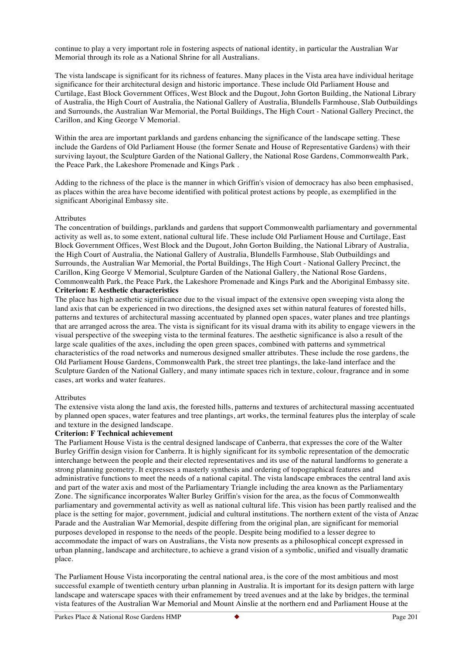continue to play a very important role in fostering aspects of national identity, in particular the Australian War Memorial through its role as a National Shrine for all Australians.

The vista landscape is significant for its richness of features. Many places in the Vista area have individual heritage significance for their architectural design and historic importance. These include Old Parliament House and Curtilage, East Block Government Offices, West Block and the Dugout, John Gorton Building, the National Library of Australia, the High Court of Australia, the National Gallery of Australia, Blundells Farmhouse, Slab Outbuildings and Surrounds, the Australian War Memorial, the Portal Buildings, The High Court - National Gallery Precinct, the Carillon, and King George V Memorial.

Within the area are important parklands and gardens enhancing the significance of the landscape setting. These include the Gardens of Old Parliament House (the former Senate and House of Representative Gardens) with their surviving layout, the Sculpture Garden of the National Gallery, the National Rose Gardens, Commonwealth Park, the Peace Park, the Lakeshore Promenade and Kings Park .

Adding to the richness of the place is the manner in which Griffin's vision of democracy has also been emphasised, as places within the area have become identified with political protest actions by people, as exemplified in the significant Aboriginal Embassy site.

#### Attributes

The concentration of buildings, parklands and gardens that support Commonwealth parliamentary and governmental activity as well as, to some extent, national cultural life. These include Old Parliament House and Curtilage, East Block Government Offices, West Block and the Dugout, John Gorton Building, the National Library of Australia, the High Court of Australia, the National Gallery of Australia, Blundells Farmhouse, Slab Outbuildings and Surrounds, the Australian War Memorial, the Portal Buildings, The High Court - National Gallery Precinct, the Carillon, King George V Memorial, Sculpture Garden of the National Gallery, the National Rose Gardens, Commonwealth Park, the Peace Park, the Lakeshore Promenade and Kings Park and the Aboriginal Embassy site. **Criterion: E Aesthetic characteristics**

The place has high aesthetic significance due to the visual impact of the extensive open sweeping vista along the land axis that can be experienced in two directions, the designed axes set within natural features of forested hills, patterns and textures of architectural massing accentuated by planned open spaces, water planes and tree plantings that are arranged across the area. The vista is significant for its visual drama with its ability to engage viewers in the visual perspective of the sweeping vista to the terminal features. The aesthetic significance is also a result of the large scale qualities of the axes, including the open green spaces, combined with patterns and symmetrical characteristics of the road networks and numerous designed smaller attributes. These include the rose gardens, the Old Parliament House Gardens, Commonwealth Park, the street tree plantings, the lake-land interface and the Sculpture Garden of the National Gallery, and many intimate spaces rich in texture, colour, fragrance and in some cases, art works and water features.

#### Attributes

The extensive vista along the land axis, the forested hills, patterns and textures of architectural massing accentuated by planned open spaces, water features and tree plantings, art works, the terminal features plus the interplay of scale and texture in the designed landscape.

#### **Criterion: F Technical achievement**

The Parliament House Vista is the central designed landscape of Canberra, that expresses the core of the Walter Burley Griffin design vision for Canberra. It is highly significant for its symbolic representation of the democratic interchange between the people and their elected representatives and its use of the natural landforms to generate a strong planning geometry. It expresses a masterly synthesis and ordering of topographical features and administrative functions to meet the needs of a national capital. The vista landscape embraces the central land axis and part of the water axis and most of the Parliamentary Triangle including the area known as the Parliamentary Zone. The significance incorporates Walter Burley Griffin's vision for the area, as the focus of Commonwealth parliamentary and governmental activity as well as national cultural life. This vision has been partly realised and the place is the setting for major, government, judicial and cultural institutions. The northern extent of the vista of Anzac Parade and the Australian War Memorial, despite differing from the original plan, are significant for memorial purposes developed in response to the needs of the people. Despite being modified to a lesser degree to accommodate the impact of wars on Australians, the Vista now presents as a philosophical concept expressed in urban planning, landscape and architecture, to achieve a grand vision of a symbolic, unified and visually dramatic place.

The Parliament House Vista incorporating the central national area, is the core of the most ambitious and most successful example of twentieth century urban planning in Australia. It is important for its design pattern with large landscape and waterscape spaces with their enframement by treed avenues and at the lake by bridges, the terminal vista features of the Australian War Memorial and Mount Ainslie at the northern end and Parliament House at the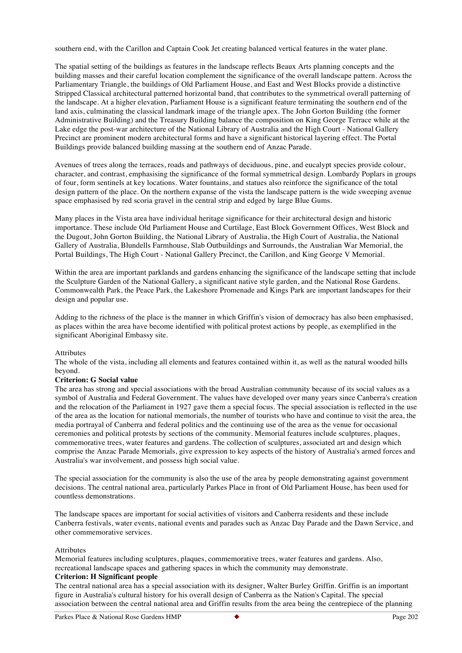southern end, with the Carillon and Captain Cook Jet creating balanced vertical features in the water plane.

The spatial setting of the buildings as features in the landscape reflects Beaux Arts planning concepts and the building masses and their careful location complement the significance of the overall landscape pattern. Across the Parliamentary Triangle, the buildings of Old Parliament House, and East and West Blocks provide a distinctive Stripped Classical architectural patterned horizontal band, that contributes to the symmetrical overall patterning of the landscape. At a higher elevation, Parliament House is a significant feature terminating the southern end of the land axis, culminating the classical landmark image of the triangle apex. The John Gorton Building (the former Administrative Building) and the Treasury Building balance the composition on King George Terrace while at the Lake edge the post-war architecture of the National Library of Australia and the High Court - National Gallery Precinct are prominent modern architectural forms and have a significant historical layering effect. The Portal Buildings provide balanced building massing at the southern end of Anzac Parade.

Avenues of trees along the terraces, roads and pathways of deciduous, pine, and eucalypt species provide colour, character, and contrast, emphasising the significance of the formal symmetrical design. Lombardy Poplars in groups of four, form sentinels at key locations. Water fountains, and statues also reinforce the significance of the total design pattern of the place. On the northern expanse of the vista the landscape pattern is the wide sweeping avenue space emphasised by red scoria gravel in the central strip and edged by large Blue Gums.

Many places in the Vista area have individual heritage significance for their architectural design and historic importance. These include Old Parliament House and Curtilage, East Block Government Offices, West Block and the Dugout, John Gorton Building, the National Library of Australia, the High Court of Australia, the National Gallery of Australia, Blundells Farmhouse, Slab Outbuildings and Surrounds, the Australian War Memorial, the Portal Buildings, The High Court - National Gallery Precinct, the Carillon, and King George V Memorial.

Within the area are important parklands and gardens enhancing the significance of the landscape setting that include the Sculpture Garden of the National Gallery, a significant native style garden, and the National Rose Gardens. Commonwealth Park, the Peace Park, the Lakeshore Promenade and Kings Park are important landscapes for their design and popular use.

Adding to the richness of the place is the manner in which Griffin's vision of democracy has also been emphasised, as places within the area have become identified with political protest actions by people, as exemplified in the significant Aboriginal Embassy site.

#### Attributes

The whole of the vista, including all elements and features contained within it, as well as the natural wooded hills beyond.

## **Criterion: G Social value**

The area has strong and special associations with the broad Australian community because of its social values as a symbol of Australia and Federal Government. The values have developed over many years since Canberra's creation and the relocation of the Parliament in 1927 gave them a special focus. The special association is reflected in the use of the area as the location for national memorials, the number of tourists who have and continue to visit the area, the media portrayal of Canberra and federal politics and the continuing use of the area as the venue for occasional ceremonies and political protests by sections of the community. Memorial features include sculptures, plaques, commemorative trees, water features and gardens. The collection of sculptures, associated art and design which comprise the Anzac Parade Memorials, give expression to key aspects of the history of Australia's armed forces and Australia's war involvement, and possess high social value.

The special association for the community is also the use of the area by people demonstrating against government decisions. The central national area, particularly Parkes Place in front of Old Parliament House, has been used for countless demonstrations.

The landscape spaces are important for social activities of visitors and Canberra residents and these include Canberra festivals, water events, national events and parades such as Anzac Day Parade and the Dawn Service, and other commemorative services.

#### Attributes

Memorial features including sculptures, plaques, commemorative trees, water features and gardens. Also, recreational landscape spaces and gathering spaces in which the community may demonstrate. **Criterion: H Significant people**

The central national area has a special association with its designer, Walter Burley Griffin. Griffin is an important figure in Australia's cultural history for his overall design of Canberra as the Nation's Capital. The special association between the central national area and Griffin results from the area being the centrepiece of the planning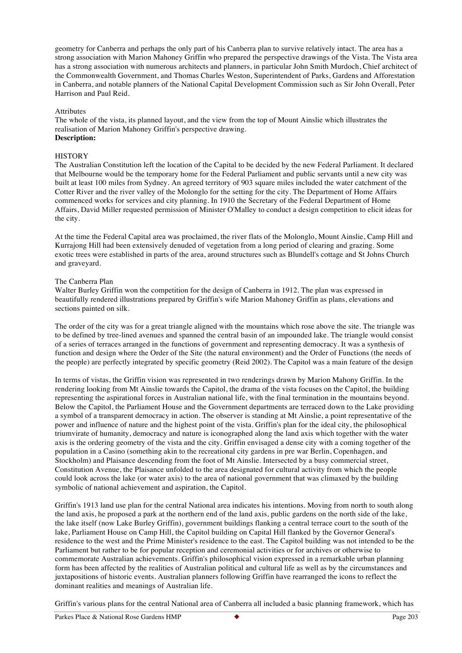geometry for Canberra and perhaps the only part of his Canberra plan to survive relatively intact. The area has a strong association with Marion Mahoney Griffin who prepared the perspective drawings of the Vista. The Vista area has a strong association with numerous architects and planners, in particular John Smith Murdoch, Chief architect of the Commonwealth Government, and Thomas Charles Weston, Superintendent of Parks, Gardens and Afforestation in Canberra, and notable planners of the National Capital Development Commission such as Sir John Overall, Peter Harrison and Paul Reid.

#### Attributes

The whole of the vista, its planned layout, and the view from the top of Mount Ainslie which illustrates the realisation of Marion Mahoney Griffin's perspective drawing. **Description:**

#### **HISTORY**

The Australian Constitution left the location of the Capital to be decided by the new Federal Parliament. It declared that Melbourne would be the temporary home for the Federal Parliament and public servants until a new city was built at least 100 miles from Sydney. An agreed territory of 903 square miles included the water catchment of the Cotter River and the river valley of the Molonglo for the setting for the city. The Department of Home Affairs commenced works for services and city planning. In 1910 the Secretary of the Federal Department of Home Affairs, David Miller requested permission of Minister O'Malley to conduct a design competition to elicit ideas for the city.

At the time the Federal Capital area was proclaimed, the river flats of the Molonglo, Mount Ainslie, Camp Hill and Kurrajong Hill had been extensively denuded of vegetation from a long period of clearing and grazing. Some exotic trees were established in parts of the area, around structures such as Blundell's cottage and St Johns Church and graveyard.

#### The Canberra Plan

Walter Burley Griffin won the competition for the design of Canberra in 1912. The plan was expressed in beautifully rendered illustrations prepared by Griffin's wife Marion Mahoney Griffin as plans, elevations and sections painted on silk.

The order of the city was for a great triangle aligned with the mountains which rose above the site. The triangle was to be defined by tree-lined avenues and spanned the central basin of an impounded lake. The triangle would consist of a series of terraces arranged in the functions of government and representing democracy. It was a synthesis of function and design where the Order of the Site (the natural environment) and the Order of Functions (the needs of the people) are perfectly integrated by specific geometry (Reid 2002). The Capitol was a main feature of the design

In terms of vistas, the Griffin vision was represented in two renderings drawn by Marion Mahony Griffin. In the rendering looking from Mt Ainslie towards the Capitol, the drama of the vista focuses on the Capitol, the building representing the aspirational forces in Australian national life, with the final termination in the mountains beyond. Below the Capitol, the Parliament House and the Government departments are terraced down to the Lake providing a symbol of a transparent democracy in action. The observer is standing at Mt Ainslie, a point representative of the power and influence of nature and the highest point of the vista. Griffin's plan for the ideal city, the philosophical triumvirate of humanity, democracy and nature is iconographed along the land axis which together with the water axis is the ordering geometry of the vista and the city. Griffin envisaged a dense city with a coming together of the population in a Casino (something akin to the recreational city gardens in pre war Berlin, Copenhagen, and Stockholm) and Plaisance descending from the foot of Mt Ainslie. Intersected by a busy commercial street, Constitution Avenue, the Plaisance unfolded to the area designated for cultural activity from which the people could look across the lake (or water axis) to the area of national government that was climaxed by the building symbolic of national achievement and aspiration, the Capitol.

Griffin's 1913 land use plan for the central National area indicates his intentions. Moving from north to south along the land axis, he proposed a park at the northern end of the land axis, public gardens on the north side of the lake, the lake itself (now Lake Burley Griffin), government buildings flanking a central terrace court to the south of the lake, Parliament House on Camp Hill, the Capitol building on Capital Hill flanked by the Governor General's residence to the west and the Prime Minister's residence to the east. The Capitol building was not intended to be the Parliament but rather to be for popular reception and ceremonial activities or for archives or otherwise to commemorate Australian achievements. Griffin's philosophical vision expressed in a remarkable urban planning form has been affected by the realities of Australian political and cultural life as well as by the circumstances and juxtapositions of historic events. Australian planners following Griffin have rearranged the icons to reflect the dominant realities and meanings of Australian life.

Griffin's various plans for the central National area of Canberra all included a basic planning framework, which has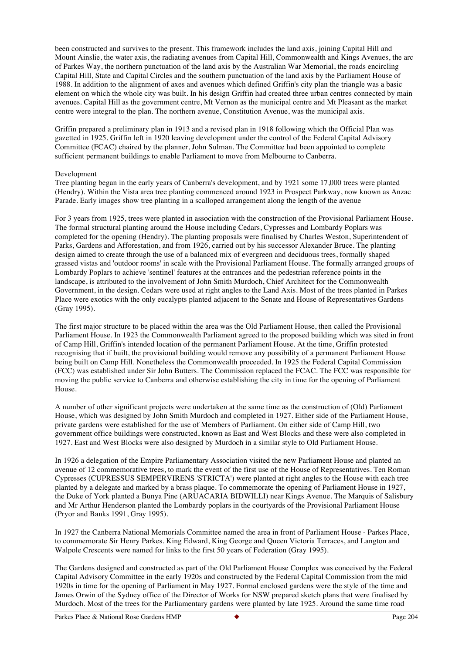been constructed and survives to the present. This framework includes the land axis, joining Capital Hill and Mount Ainslie, the water axis, the radiating avenues from Capital Hill, Commonwealth and Kings Avenues, the arc of Parkes Way, the northern punctuation of the land axis by the Australian War Memorial, the roads encircling Capital Hill, State and Capital Circles and the southern punctuation of the land axis by the Parliament House of 1988. In addition to the alignment of axes and avenues which defined Griffin's city plan the triangle was a basic element on which the whole city was built. In his design Griffin had created three urban centres connected by main avenues. Capital Hill as the government centre, Mt Vernon as the municipal centre and Mt Pleasant as the market centre were integral to the plan. The northern avenue, Constitution Avenue, was the municipal axis.

Griffin prepared a preliminary plan in 1913 and a revised plan in 1918 following which the Official Plan was gazetted in 1925. Griffin left in 1920 leaving development under the control of the Federal Capital Advisory Committee (FCAC) chaired by the planner, John Sulman. The Committee had been appointed to complete sufficient permanent buildings to enable Parliament to move from Melbourne to Canberra.

#### Development

Tree planting began in the early years of Canberra's development, and by 1921 some 17,000 trees were planted (Hendry). Within the Vista area tree planting commenced around 1923 in Prospect Parkway, now known as Anzac Parade. Early images show tree planting in a scalloped arrangement along the length of the avenue

For 3 years from 1925, trees were planted in association with the construction of the Provisional Parliament House. The formal structural planting around the House including Cedars, Cypresses and Lombardy Poplars was completed for the opening (Hendry). The planting proposals were finalised by Charles Weston, Superintendent of Parks, Gardens and Afforestation, and from 1926, carried out by his successor Alexander Bruce. The planting design aimed to create through the use of a balanced mix of evergreen and deciduous trees, formally shaped grassed vistas and 'outdoor rooms' in scale with the Provisional Parliament House. The formally arranged groups of Lombardy Poplars to achieve 'sentinel' features at the entrances and the pedestrian reference points in the landscape, is attributed to the involvement of John Smith Murdoch, Chief Architect for the Commonwealth Government, in the design. Cedars were used at right angles to the Land Axis. Most of the trees planted in Parkes Place were exotics with the only eucalypts planted adjacent to the Senate and House of Representatives Gardens (Gray 1995).

The first major structure to be placed within the area was the Old Parliament House, then called the Provisional Parliament House. In 1923 the Commonwealth Parliament agreed to the proposed building which was sited in front of Camp Hill, Griffin's intended location of the permanent Parliament House. At the time, Griffin protested recognising that if built, the provisional building would remove any possibility of a permanent Parliament House being built on Camp Hill. Nonetheless the Commonwealth proceeded. In 1925 the Federal Capital Commission (FCC) was established under Sir John Butters. The Commission replaced the FCAC. The FCC was responsible for moving the public service to Canberra and otherwise establishing the city in time for the opening of Parliament House.

A number of other significant projects were undertaken at the same time as the construction of (Old) Parliament House, which was designed by John Smith Murdoch and completed in 1927. Either side of the Parliament House, private gardens were established for the use of Members of Parliament. On either side of Camp Hill, two government office buildings were constructed, known as East and West Blocks and these were also completed in 1927. East and West Blocks were also designed by Murdoch in a similar style to Old Parliament House.

In 1926 a delegation of the Empire Parliamentary Association visited the new Parliament House and planted an avenue of 12 commemorative trees, to mark the event of the first use of the House of Representatives. Ten Roman Cypresses (CUPRESSUS SEMPERVIRENS 'STRICTA') were planted at right angles to the House with each tree planted by a delegate and marked by a brass plaque. To commemorate the opening of Parliament House in 1927, the Duke of York planted a Bunya Pine (ARUACARIA BIDWILLI) near Kings Avenue. The Marquis of Salisbury and Mr Arthur Henderson planted the Lombardy poplars in the courtyards of the Provisional Parliament House (Pryor and Banks 1991, Gray 1995).

In 1927 the Canberra National Memorials Committee named the area in front of Parliament House - Parkes Place, to commemorate Sir Henry Parkes. King Edward, King George and Queen Victoria Terraces, and Langton and Walpole Crescents were named for links to the first 50 years of Federation (Gray 1995).

The Gardens designed and constructed as part of the Old Parliament House Complex was conceived by the Federal Capital Advisory Committee in the early 1920s and constructed by the Federal Capital Commission from the mid 1920s in time for the opening of Parliament in May 1927. Formal enclosed gardens were the style of the time and James Orwin of the Sydney office of the Director of Works for NSW prepared sketch plans that were finalised by Murdoch. Most of the trees for the Parliamentary gardens were planted by late 1925. Around the same time road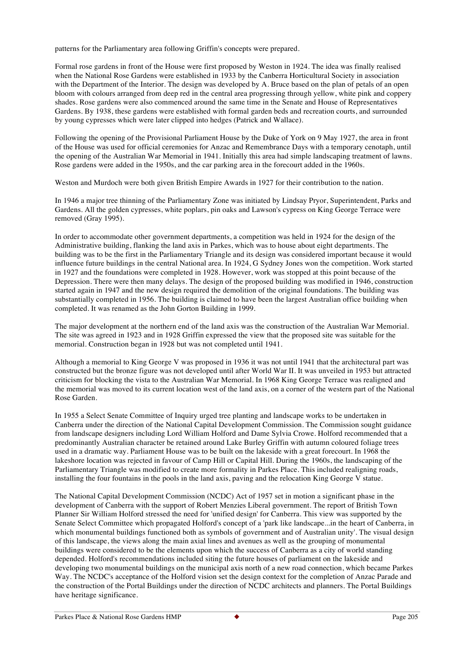patterns for the Parliamentary area following Griffin's concepts were prepared.

Formal rose gardens in front of the House were first proposed by Weston in 1924. The idea was finally realised when the National Rose Gardens were established in 1933 by the Canberra Horticultural Society in association with the Department of the Interior. The design was developed by A. Bruce based on the plan of petals of an open bloom with colours arranged from deep red in the central area progressing through yellow, white pink and coppery shades. Rose gardens were also commenced around the same time in the Senate and House of Representatives Gardens. By 1938, these gardens were established with formal garden beds and recreation courts, and surrounded by young cypresses which were later clipped into hedges (Patrick and Wallace).

Following the opening of the Provisional Parliament House by the Duke of York on 9 May 1927, the area in front of the House was used for official ceremonies for Anzac and Remembrance Days with a temporary cenotaph, until the opening of the Australian War Memorial in 1941. Initially this area had simple landscaping treatment of lawns. Rose gardens were added in the 1950s, and the car parking area in the forecourt added in the 1960s.

Weston and Murdoch were both given British Empire Awards in 1927 for their contribution to the nation.

In 1946 a major tree thinning of the Parliamentary Zone was initiated by Lindsay Pryor, Superintendent, Parks and Gardens. All the golden cypresses, white poplars, pin oaks and Lawson's cypress on King George Terrace were removed (Gray 1995).

In order to accommodate other government departments, a competition was held in 1924 for the design of the Administrative building, flanking the land axis in Parkes, which was to house about eight departments. The building was to be the first in the Parliamentary Triangle and its design was considered important because it would influence future buildings in the central National area. In 1924, G Sydney Jones won the competition. Work started in 1927 and the foundations were completed in 1928. However, work was stopped at this point because of the Depression. There were then many delays. The design of the proposed building was modified in 1946, construction started again in 1947 and the new design required the demolition of the original foundations. The building was substantially completed in 1956. The building is claimed to have been the largest Australian office building when completed. It was renamed as the John Gorton Building in 1999.

The major development at the northern end of the land axis was the construction of the Australian War Memorial. The site was agreed in 1923 and in 1928 Griffin expressed the view that the proposed site was suitable for the memorial. Construction began in 1928 but was not completed until 1941.

Although a memorial to King George V was proposed in 1936 it was not until 1941 that the architectural part was constructed but the bronze figure was not developed until after World War II. It was unveiled in 1953 but attracted criticism for blocking the vista to the Australian War Memorial. In 1968 King George Terrace was realigned and the memorial was moved to its current location west of the land axis, on a corner of the western part of the National Rose Garden.

In 1955 a Select Senate Committee of Inquiry urged tree planting and landscape works to be undertaken in Canberra under the direction of the National Capital Development Commission. The Commission sought guidance from landscape designers including Lord William Holford and Dame Sylvia Crowe. Holford recommended that a predominantly Australian character be retained around Lake Burley Griffin with autumn coloured foliage trees used in a dramatic way. Parliament House was to be built on the lakeside with a great forecourt. In 1968 the lakeshore location was rejected in favour of Camp Hill or Capital Hill. During the 1960s, the landscaping of the Parliamentary Triangle was modified to create more formality in Parkes Place. This included realigning roads, installing the four fountains in the pools in the land axis, paving and the relocation King George V statue.

The National Capital Development Commission (NCDC) Act of 1957 set in motion a significant phase in the development of Canberra with the support of Robert Menzies Liberal government. The report of British Town Planner Sir William Holford stressed the need for 'unified design' for Canberra. This view was supported by the Senate Select Committee which propagated Holford's concept of a 'park like landscape...in the heart of Canberra, in which monumental buildings functioned both as symbols of government and of Australian unity'. The visual design of this landscape, the views along the main axial lines and avenues as well as the grouping of monumental buildings were considered to be the elements upon which the success of Canberra as a city of world standing depended. Holford's recommendations included siting the future houses of parliament on the lakeside and developing two monumental buildings on the municipal axis north of a new road connection, which became Parkes Way. The NCDC's acceptance of the Holford vision set the design context for the completion of Anzac Parade and the construction of the Portal Buildings under the direction of NCDC architects and planners. The Portal Buildings have heritage significance.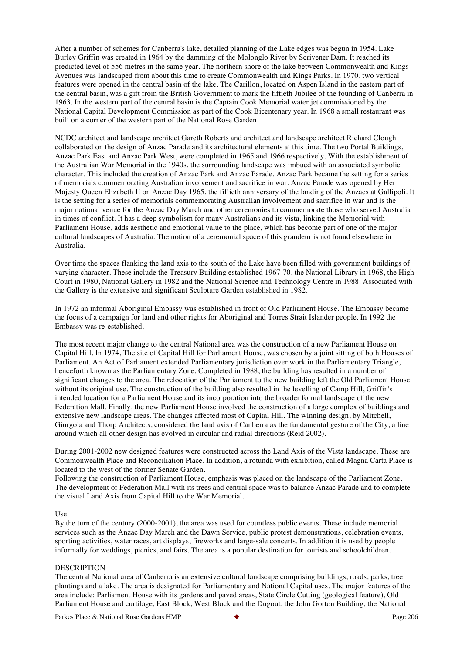After a number of schemes for Canberra's lake, detailed planning of the Lake edges was begun in 1954. Lake Burley Griffin was created in 1964 by the damming of the Molonglo River by Scrivener Dam. It reached its predicted level of 556 metres in the same year. The northern shore of the lake between Commonwealth and Kings Avenues was landscaped from about this time to create Commonwealth and Kings Parks. In 1970, two vertical features were opened in the central basin of the lake. The Carillon, located on Aspen Island in the eastern part of the central basin, was a gift from the British Government to mark the fiftieth Jubilee of the founding of Canberra in 1963. In the western part of the central basin is the Captain Cook Memorial water jet commissioned by the National Capital Development Commission as part of the Cook Bicentenary year. In 1968 a small restaurant was built on a corner of the western part of the National Rose Garden.

NCDC architect and landscape architect Gareth Roberts and architect and landscape architect Richard Clough collaborated on the design of Anzac Parade and its architectural elements at this time. The two Portal Buildings, Anzac Park East and Anzac Park West, were completed in 1965 and 1966 respectively. With the establishment of the Australian War Memorial in the 1940s, the surrounding landscape was imbued with an associated symbolic character. This included the creation of Anzac Park and Anzac Parade. Anzac Park became the setting for a series of memorials commemorating Australian involvement and sacrifice in war. Anzac Parade was opened by Her Majesty Queen Elizabeth II on Anzac Day 1965, the fiftieth anniversary of the landing of the Anzacs at Gallipoli. It is the setting for a series of memorials commemorating Australian involvement and sacrifice in war and is the major national venue for the Anzac Day March and other ceremonies to commemorate those who served Australia in times of conflict. It has a deep symbolism for many Australians and its vista, linking the Memorial with Parliament House, adds aesthetic and emotional value to the place, which has become part of one of the major cultural landscapes of Australia. The notion of a ceremonial space of this grandeur is not found elsewhere in Australia.

Over time the spaces flanking the land axis to the south of the Lake have been filled with government buildings of varying character. These include the Treasury Building established 1967-70, the National Library in 1968, the High Court in 1980, National Gallery in 1982 and the National Science and Technology Centre in 1988. Associated with the Gallery is the extensive and significant Sculpture Garden established in 1982.

In 1972 an informal Aboriginal Embassy was established in front of Old Parliament House. The Embassy became the focus of a campaign for land and other rights for Aboriginal and Torres Strait Islander people. In 1992 the Embassy was re-established.

The most recent major change to the central National area was the construction of a new Parliament House on Capital Hill. In 1974, The site of Capital Hill for Parliament House, was chosen by a joint sitting of both Houses of Parliament. An Act of Parliament extended Parliamentary jurisdiction over work in the Parliamentary Triangle, henceforth known as the Parliamentary Zone. Completed in 1988, the building has resulted in a number of significant changes to the area. The relocation of the Parliament to the new building left the Old Parliament House without its original use. The construction of the building also resulted in the levelling of Camp Hill, Griffin's intended location for a Parliament House and its incorporation into the broader formal landscape of the new Federation Mall. Finally, the new Parliament House involved the construction of a large complex of buildings and extensive new landscape areas. The changes affected most of Capital Hill. The winning design, by Mitchell, Giurgola and Thorp Architects, considered the land axis of Canberra as the fundamental gesture of the City, a line around which all other design has evolved in circular and radial directions (Reid 2002).

During 2001-2002 new designed features were constructed across the Land Axis of the Vista landscape. These are Commonwealth Place and Reconciliation Place. In addition, a rotunda with exhibition, called Magna Carta Place is located to the west of the former Senate Garden.

Following the construction of Parliament House, emphasis was placed on the landscape of the Parliament Zone. The development of Federation Mall with its trees and central space was to balance Anzac Parade and to complete the visual Land Axis from Capital Hill to the War Memorial.

#### Use

By the turn of the century (2000-2001), the area was used for countless public events. These include memorial services such as the Anzac Day March and the Dawn Service, public protest demonstrations, celebration events, sporting activities, water races, art displays, fireworks and large-sale concerts. In addition it is used by people informally for weddings, picnics, and fairs. The area is a popular destination for tourists and schoolchildren.

#### DESCRIPTION

The central National area of Canberra is an extensive cultural landscape comprising buildings, roads, parks, tree plantings and a lake. The area is designated for Parliamentary and National Capital uses. The major features of the area include: Parliament House with its gardens and paved areas, State Circle Cutting (geological feature), Old Parliament House and curtilage, East Block, West Block and the Dugout, the John Gorton Building, the National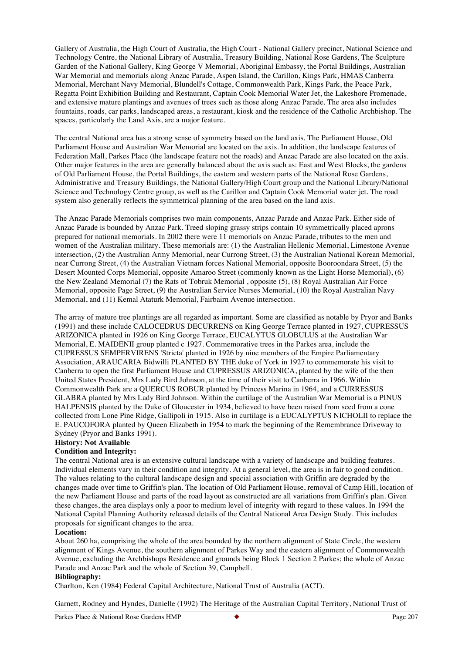Gallery of Australia, the High Court of Australia, the High Court - National Gallery precinct, National Science and Technology Centre, the National Library of Australia, Treasury Building, National Rose Gardens, The Sculpture Garden of the National Gallery, King George V Memorial, Aboriginal Embassy, the Portal Buildings, Australian War Memorial and memorials along Anzac Parade, Aspen Island, the Carillon, Kings Park, HMAS Canberra Memorial, Merchant Navy Memorial, Blundell's Cottage, Commonwealth Park, Kings Park, the Peace Park, Regatta Point Exhibition Building and Restaurant, Captain Cook Memorial Water Jet, the Lakeshore Promenade, and extensive mature plantings and avenues of trees such as those along Anzac Parade. The area also includes fountains, roads, car parks, landscaped areas, a restaurant, kiosk and the residence of the Catholic Archbishop. The spaces, particularly the Land Axis, are a major feature.

The central National area has a strong sense of symmetry based on the land axis. The Parliament House, Old Parliament House and Australian War Memorial are located on the axis. In addition, the landscape features of Federation Mall, Parkes Place (the landscape feature not the roads) and Anzac Parade are also located on the axis. Other major features in the area are generally balanced about the axis such as: East and West Blocks, the gardens of Old Parliament House, the Portal Buildings, the eastern and western parts of the National Rose Gardens, Administrative and Treasury Buildings, the National Gallery/High Court group and the National Library/National Science and Technology Centre group, as well as the Carillon and Captain Cook Memorial water jet. The road system also generally reflects the symmetrical planning of the area based on the land axis.

The Anzac Parade Memorials comprises two main components, Anzac Parade and Anzac Park. Either side of Anzac Parade is bounded by Anzac Park. Treed sloping grassy strips contain 10 symmetrically placed aprons prepared for national memorials. In 2002 there were 11 memorials on Anzac Parade, tributes to the men and women of the Australian military. These memorials are: (1) the Australian Hellenic Memorial, Limestone Avenue intersection, (2) the Australian Army Memorial, near Currong Street, (3) the Australian National Korean Memorial, near Currong Street, (4) the Australian Vietnam forces National Memorial, opposite Booroondara Street, (5) the Desert Mounted Corps Memorial, opposite Amaroo Street (commonly known as the Light Horse Memorial), (6) the New Zealand Memorial (7) the Rats of Tobruk Memorial , opposite (5), (8) Royal Australian Air Force Memorial, opposite Page Street, (9) the Australian Service Nurses Memorial, (10) the Royal Australian Navy Memorial, and (11) Kemal Ataturk Memorial, Fairbairn Avenue intersection.

The array of mature tree plantings are all regarded as important. Some are classified as notable by Pryor and Banks (1991) and these include CALOCEDRUS DECURRENS on King George Terrace planted in 1927, CUPRESSUS ARIZONICA planted in 1926 on King George Terrace, EUCALYTUS GLOBULUS at the Australian War Memorial, E. MAIDENII group planted c 1927. Commemorative trees in the Parkes area, include the CUPRESSUS SEMPERVIRENS 'Stricta' planted in 1926 by nine members of the Empire Parliamentary Association, ARAUCARIA Bidwilli PLANTED BY THE duke of York in 1927 to commemorate his visit to Canberra to open the first Parliament House and CUPRESSUS ARIZONICA, planted by the wife of the then United States President, Mrs Lady Bird Johnson, at the time of their visit to Canberra in 1966. Within Commonwealth Park are a QUERCUS ROBUR planted by Princess Marina in 1964, and a CURRESSUS GLABRA planted by Mrs Lady Bird Johnson. Within the curtilage of the Australian War Memorial is a PINUS HALPENSIS planted by the Duke of Gloucester in 1934, believed to have been raised from seed from a cone collected from Lone Pine Ridge, Gallipoli in 1915. Also in curtilage is a EUCALYPTUS NICHOLII to replace the E. PAUCOFORA planted by Queen Elizabeth in 1954 to mark the beginning of the Remembrance Driveway to Sydney (Pryor and Banks 1991).

#### **History: Not Available**

#### **Condition and Integrity:**

The central National area is an extensive cultural landscape with a variety of landscape and building features. Individual elements vary in their condition and integrity. At a general level, the area is in fair to good condition. The values relating to the cultural landscape design and special association with Griffin are degraded by the changes made over time to Griffin's plan. The location of Old Parliament House, removal of Camp Hill, location of the new Parliament House and parts of the road layout as constructed are all variations from Griffin's plan. Given these changes, the area displays only a poor to medium level of integrity with regard to these values. In 1994 the National Capital Planning Authority released details of the Central National Area Design Study. This includes proposals for significant changes to the area.

#### **Location:**

About 260 ha, comprising the whole of the area bounded by the northern alignment of State Circle, the western alignment of Kings Avenue, the southern alignment of Parkes Way and the eastern alignment of Commonwealth Avenue, excluding the Archbishops Residence and grounds being Block 1 Section 2 Parkes; the whole of Anzac Parade and Anzac Park and the whole of Section 39, Campbell.

#### **Bibliography:**

Charlton, Ken (1984) Federal Capital Architecture, National Trust of Australia (ACT).

Garnett, Rodney and Hyndes, Danielle (1992) The Heritage of the Australian Capital Territory, National Trust of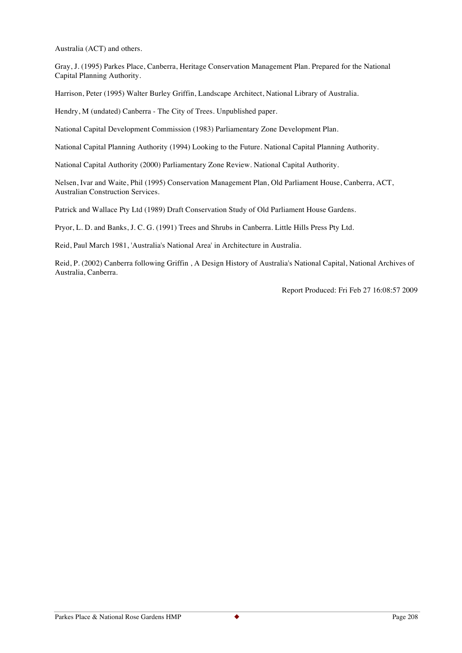Australia (ACT) and others.

Gray, J. (1995) Parkes Place, Canberra, Heritage Conservation Management Plan. Prepared for the National Capital Planning Authority.

Harrison, Peter (1995) Walter Burley Griffin, Landscape Architect, National Library of Australia.

Hendry, M (undated) Canberra - The City of Trees. Unpublished paper.

National Capital Development Commission (1983) Parliamentary Zone Development Plan.

National Capital Planning Authority (1994) Looking to the Future. National Capital Planning Authority.

National Capital Authority (2000) Parliamentary Zone Review. National Capital Authority.

Nelsen, Ivar and Waite, Phil (1995) Conservation Management Plan, Old Parliament House, Canberra, ACT, Australian Construction Services.

Patrick and Wallace Pty Ltd (1989) Draft Conservation Study of Old Parliament House Gardens.

Pryor, L. D. and Banks, J. C. G. (1991) Trees and Shrubs in Canberra. Little Hills Press Pty Ltd.

Reid, Paul March 1981, 'Australia's National Area' in Architecture in Australia.

Reid, P. (2002) Canberra following Griffin , A Design History of Australia's National Capital, National Archives of Australia, Canberra.

Report Produced: Fri Feb 27 16:08:57 2009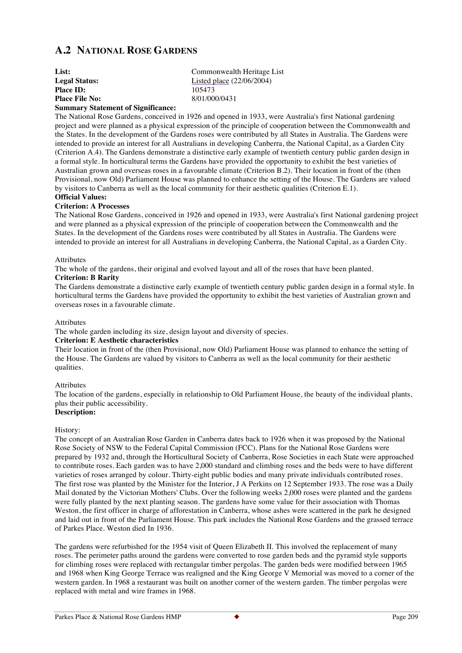# **A.2 NATIONAL ROSE GARDENS**

| List:                              | Commonwealth Heritage List  |
|------------------------------------|-----------------------------|
| <b>Legal Status:</b>               | Listed place $(22/06/2004)$ |
| <b>Place ID:</b>                   | 105473                      |
| <b>Place File No:</b>              | 8/01/000/0431               |
| $\alpha$ $\alpha$ $\beta$ $\alpha$ |                             |

# **Summary Statement of Significance:**

The National Rose Gardens, conceived in 1926 and opened in 1933, were Australia's first National gardening project and were planned as a physical expression of the principle of cooperation between the Commonwealth and the States. In the development of the Gardens roses were contributed by all States in Australia. The Gardens were intended to provide an interest for all Australians in developing Canberra, the National Capital, as a Garden City (Criterion A.4). The Gardens demonstrate a distinctive early example of twentieth century public garden design in a formal style. In horticultural terms the Gardens have provided the opportunity to exhibit the best varieties of Australian grown and overseas roses in a favourable climate (Criterion B.2). Their location in front of the (then Provisional, now Old) Parliament House was planned to enhance the setting of the House. The Gardens are valued by visitors to Canberra as well as the local community for their aesthetic qualities (Criterion E.1). **Official Values:**

#### **Criterion: A Processes**

The National Rose Gardens, conceived in 1926 and opened in 1933, were Australia's first National gardening project and were planned as a physical expression of the principle of cooperation between the Commonwealth and the States. In the development of the Gardens roses were contributed by all States in Australia. The Gardens were intended to provide an interest for all Australians in developing Canberra, the National Capital, as a Garden City.

#### Attributes

The whole of the gardens, their original and evolved layout and all of the roses that have been planted.

#### **Criterion: B Rarity**

The Gardens demonstrate a distinctive early example of twentieth century public garden design in a formal style. In horticultural terms the Gardens have provided the opportunity to exhibit the best varieties of Australian grown and overseas roses in a favourable climate.

#### **Attributes**

The whole garden including its size, design layout and diversity of species.

#### **Criterion: E Aesthetic characteristics**

Their location in front of the (then Provisional, now Old) Parliament House was planned to enhance the setting of the House. The Gardens are valued by visitors to Canberra as well as the local community for their aesthetic qualities.

#### Attributes

The location of the gardens, especially in relationship to Old Parliament House, the beauty of the individual plants, plus their public accessibility.

## **Description:**

#### History:

The concept of an Australian Rose Garden in Canberra dates back to 1926 when it was proposed by the National Rose Society of NSW to the Federal Capital Commission (FCC). Plans for the National Rose Gardens were prepared by 1932 and, through the Horticultural Society of Canberra, Rose Societies in each State were approached to contribute roses. Each garden was to have 2,000 standard and climbing roses and the beds were to have different varieties of roses arranged by colour. Thirty-eight public bodies and many private individuals contributed roses. The first rose was planted by the Minister for the Interior, J A Perkins on 12 September 1933. The rose was a Daily Mail donated by the Victorian Mothers' Clubs. Over the following weeks 2,000 roses were planted and the gardens were fully planted by the next planting season. The gardens have some value for their association with Thomas Weston, the first officer in charge of afforestation in Canberra, whose ashes were scattered in the park he designed and laid out in front of the Parliament House. This park includes the National Rose Gardens and the grassed terrace of Parkes Place. Weston died In 1936.

The gardens were refurbished for the 1954 visit of Queen Elizabeth II. This involved the replacement of many roses. The perimeter paths around the gardens were converted to rose garden beds and the pyramid style supports for climbing roses were replaced with rectangular timber pergolas. The garden beds were modified between 1965 and 1968 when King George Terrace was realigned and the King George V Memorial was moved to a corner of the western garden. In 1968 a restaurant was built on another corner of the western garden. The timber pergolas were replaced with metal and wire frames in 1968.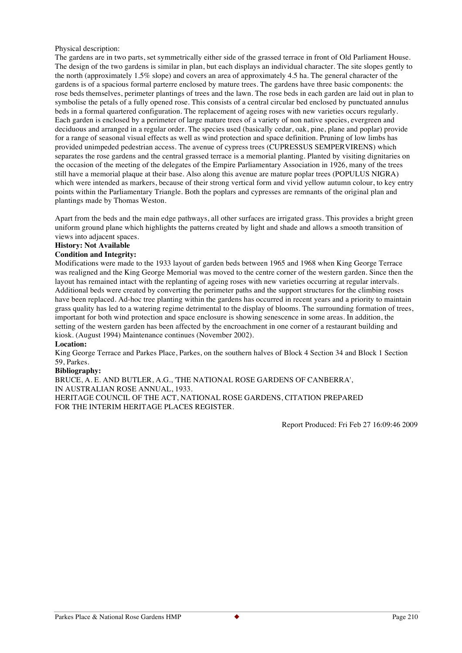Physical description:

The gardens are in two parts, set symmetrically either side of the grassed terrace in front of Old Parliament House. The design of the two gardens is similar in plan, but each displays an individual character. The site slopes gently to the north (approximately 1.5% slope) and covers an area of approximately 4.5 ha. The general character of the gardens is of a spacious formal parterre enclosed by mature trees. The gardens have three basic components: the rose beds themselves, perimeter plantings of trees and the lawn. The rose beds in each garden are laid out in plan to symbolise the petals of a fully opened rose. This consists of a central circular bed enclosed by punctuated annulus beds in a formal quartered configuration. The replacement of ageing roses with new varieties occurs regularly. Each garden is enclosed by a perimeter of large mature trees of a variety of non native species, evergreen and deciduous and arranged in a regular order. The species used (basically cedar, oak, pine, plane and poplar) provide for a range of seasonal visual effects as well as wind protection and space definition. Pruning of low limbs has provided unimpeded pedestrian access. The avenue of cypress trees (CUPRESSUS SEMPERVIRENS) which separates the rose gardens and the central grassed terrace is a memorial planting. Planted by visiting dignitaries on the occasion of the meeting of the delegates of the Empire Parliamentary Association in 1926, many of the trees still have a memorial plaque at their base. Also along this avenue are mature poplar trees (POPULUS NIGRA) which were intended as markers, because of their strong vertical form and vivid yellow autumn colour, to key entry points within the Parliamentary Triangle. Both the poplars and cypresses are remnants of the original plan and plantings made by Thomas Weston.

Apart from the beds and the main edge pathways, all other surfaces are irrigated grass. This provides a bright green uniform ground plane which highlights the patterns created by light and shade and allows a smooth transition of views into adjacent spaces.

## **History: Not Available**

#### **Condition and Integrity:**

Modifications were made to the 1933 layout of garden beds between 1965 and 1968 when King George Terrace was realigned and the King George Memorial was moved to the centre corner of the western garden. Since then the layout has remained intact with the replanting of ageing roses with new varieties occurring at regular intervals. Additional beds were created by converting the perimeter paths and the support structures for the climbing roses have been replaced. Ad-hoc tree planting within the gardens has occurred in recent years and a priority to maintain grass quality has led to a watering regime detrimental to the display of blooms. The surrounding formation of trees, important for both wind protection and space enclosure is showing senescence in some areas. In addition, the setting of the western garden has been affected by the encroachment in one corner of a restaurant building and kiosk. (August 1994) Maintenance continues (November 2002).

#### **Location:**

King George Terrace and Parkes Place, Parkes, on the southern halves of Block 4 Section 34 and Block 1 Section 59, Parkes.

#### **Bibliography:**

BRUCE, A. E. AND BUTLER, A.G., 'THE NATIONAL ROSE GARDENS OF CANBERRA', IN AUSTRALIAN ROSE ANNUAL, 1933. HERITAGE COUNCIL OF THE ACT, NATIONAL ROSE GARDENS, CITATION PREPARED FOR THE INTERIM HERITAGE PLACES REGISTER.

Report Produced: Fri Feb 27 16:09:46 2009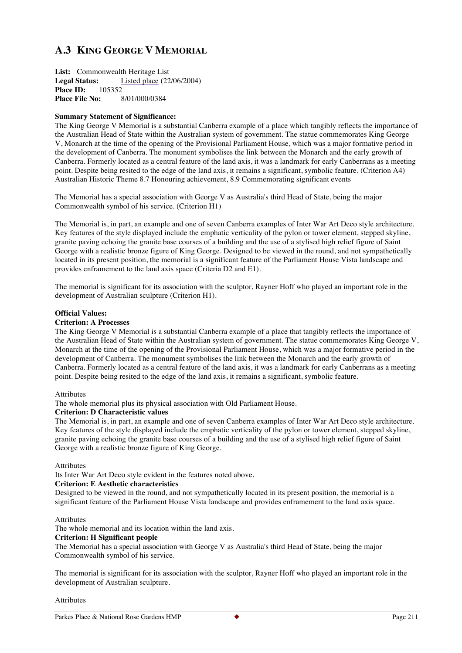# **A.3 KING GEORGE V MEMORIAL**

**List:** Commonwealth Heritage List **Legal Status:** Listed place (22/06/2004)<br>**Place ID:** 105352 **Place ID:** 105352<br>**Place File No:** 8/01/000/0384 **Place File No:** 

#### **Summary Statement of Significance:**

The King George V Memorial is a substantial Canberra example of a place which tangibly reflects the importance of the Australian Head of State within the Australian system of government. The statue commemorates King George V, Monarch at the time of the opening of the Provisional Parliament House, which was a major formative period in the development of Canberra. The monument symbolises the link between the Monarch and the early growth of Canberra. Formerly located as a central feature of the land axis, it was a landmark for early Canberrans as a meeting point. Despite being resited to the edge of the land axis, it remains a significant, symbolic feature. (Criterion A4) Australian Historic Theme 8.7 Honouring achievement, 8.9 Commemorating significant events

The Memorial has a special association with George V as Australia's third Head of State, being the major Commonwealth symbol of his service. (Criterion H1)

The Memorial is, in part, an example and one of seven Canberra examples of Inter War Art Deco style architecture. Key features of the style displayed include the emphatic verticality of the pylon or tower element, stepped skyline, granite paving echoing the granite base courses of a building and the use of a stylised high relief figure of Saint George with a realistic bronze figure of King George. Designed to be viewed in the round, and not sympathetically located in its present position, the memorial is a significant feature of the Parliament House Vista landscape and provides enframement to the land axis space (Criteria D2 and E1).

The memorial is significant for its association with the sculptor, Rayner Hoff who played an important role in the development of Australian sculpture (Criterion H1).

#### **Official Values:**

#### **Criterion: A Processes**

The King George V Memorial is a substantial Canberra example of a place that tangibly reflects the importance of the Australian Head of State within the Australian system of government. The statue commemorates King George V, Monarch at the time of the opening of the Provisional Parliament House, which was a major formative period in the development of Canberra. The monument symbolises the link between the Monarch and the early growth of Canberra. Formerly located as a central feature of the land axis, it was a landmark for early Canberrans as a meeting point. Despite being resited to the edge of the land axis, it remains a significant, symbolic feature.

#### **Attributes**

The whole memorial plus its physical association with Old Parliament House.

#### **Criterion: D Characteristic values**

The Memorial is, in part, an example and one of seven Canberra examples of Inter War Art Deco style architecture. Key features of the style displayed include the emphatic verticality of the pylon or tower element, stepped skyline, granite paving echoing the granite base courses of a building and the use of a stylised high relief figure of Saint George with a realistic bronze figure of King George.

#### Attributes

Its Inter War Art Deco style evident in the features noted above.

# **Criterion: E Aesthetic characteristics**

Designed to be viewed in the round, and not sympathetically located in its present position, the memorial is a significant feature of the Parliament House Vista landscape and provides enframement to the land axis space.

#### **Attributes**

The whole memorial and its location within the land axis.

#### **Criterion: H Significant people**

The Memorial has a special association with George V as Australia's third Head of State, being the major Commonwealth symbol of his service.

The memorial is significant for its association with the sculptor, Rayner Hoff who played an important role in the development of Australian sculpture.

Attributes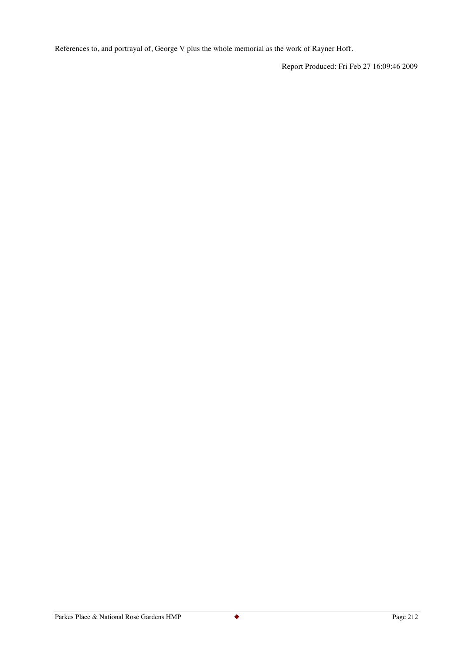References to, and portrayal of, George V plus the whole memorial as the work of Rayner Hoff.

Report Produced: Fri Feb 27 16:09:46 2009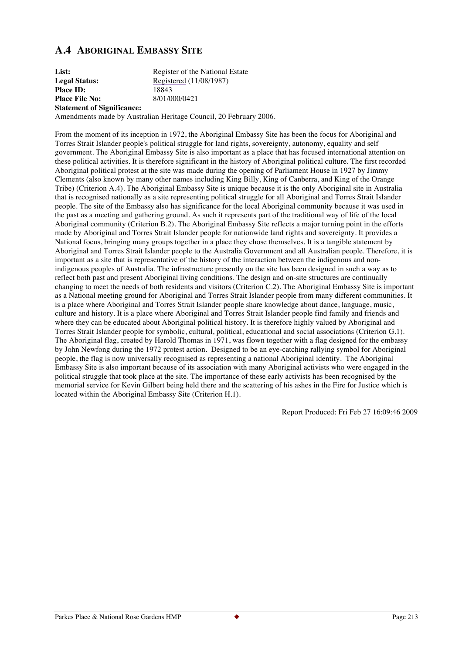# **A.4 ABORIGINAL EMBASSY SITE**

List: Register of the National Estate Legal Status: Registered (11/08/1987) **Place ID:** 18843<br> **Place File No:** 201/000/0421 **Place File No: Statement of Significance:**

Amendments made by Australian Heritage Council, 20 February 2006.

From the moment of its inception in 1972, the Aboriginal Embassy Site has been the focus for Aboriginal and Torres Strait Islander people's political struggle for land rights, sovereignty, autonomy, equality and self government. The Aboriginal Embassy Site is also important as a place that has focused international attention on these political activities. It is therefore significant in the history of Aboriginal political culture. The first recorded Aboriginal political protest at the site was made during the opening of Parliament House in 1927 by Jimmy Clements (also known by many other names including King Billy, King of Canberra, and King of the Orange Tribe) (Criterion A.4). The Aboriginal Embassy Site is unique because it is the only Aboriginal site in Australia that is recognised nationally as a site representing political struggle for all Aboriginal and Torres Strait Islander people. The site of the Embassy also has significance for the local Aboriginal community because it was used in the past as a meeting and gathering ground. As such it represents part of the traditional way of life of the local Aboriginal community (Criterion B.2). The Aboriginal Embassy Site reflects a major turning point in the efforts made by Aboriginal and Torres Strait Islander people for nationwide land rights and sovereignty. It provides a National focus, bringing many groups together in a place they chose themselves. It is a tangible statement by Aboriginal and Torres Strait Islander people to the Australia Government and all Australian people. Therefore, it is important as a site that is representative of the history of the interaction between the indigenous and nonindigenous peoples of Australia. The infrastructure presently on the site has been designed in such a way as to reflect both past and present Aboriginal living conditions. The design and on-site structures are continually changing to meet the needs of both residents and visitors (Criterion C.2). The Aboriginal Embassy Site is important as a National meeting ground for Aboriginal and Torres Strait Islander people from many different communities. It is a place where Aboriginal and Torres Strait Islander people share knowledge about dance, language, music, culture and history. It is a place where Aboriginal and Torres Strait Islander people find family and friends and where they can be educated about Aboriginal political history. It is therefore highly valued by Aboriginal and Torres Strait Islander people for symbolic, cultural, political, educational and social associations (Criterion G.1). The Aboriginal flag, created by Harold Thomas in 1971, was flown together with a flag designed for the embassy by John Newfong during the 1972 protest action. Designed to be an eye-catching rallying symbol for Aboriginal people, the flag is now universally recognised as representing a national Aboriginal identity. The Aboriginal Embassy Site is also important because of its association with many Aboriginal activists who were engaged in the political struggle that took place at the site. The importance of these early activists has been recognised by the memorial service for Kevin Gilbert being held there and the scattering of his ashes in the Fire for Justice which is located within the Aboriginal Embassy Site (Criterion H.1).

Report Produced: Fri Feb 27 16:09:46 2009